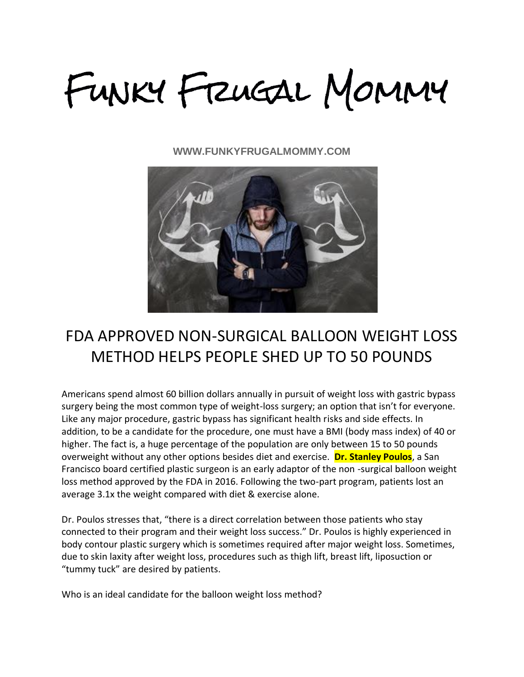FUNKY FRUGAL MOMMY

**WWW.FUNKYFRUGALMOMMY.COM**



# FDA APPROVED NON-SURGICAL BALLOON WEIGHT LOSS METHOD HELPS PEOPLE SHED UP TO 50 POUNDS

Americans spend almost 60 billion dollars annually in pursuit of weight loss with gastric bypass surgery being the most common type of weight-loss surgery; an option that isn't for everyone. Like any major procedure, gastric bypass has significant health risks and side effects. In addition, to be a candidate for the procedure, one must have a BMI (body mass index) of 40 or higher. The fact is, a huge percentage of the population are only between 15 to 50 pounds overweight without any other options besides diet and exercise. **Dr. Stanley Poulos**, a San Francisco board certified plastic surgeon is an early adaptor of the non -surgical balloon weight loss method approved by the FDA in 2016. Following the two-part program, patients lost an average 3.1x the weight compared with diet & exercise alone.

Dr. Poulos stresses that, "there is a direct correlation between those patients who stay connected to their program and their weight loss success." Dr. Poulos is highly experienced in body contour plastic surgery which is sometimes required after major weight loss. Sometimes, due to skin laxity after weight loss, procedures such as thigh lift, breast lift, liposuction or "tummy tuck" are desired by patients.

Who is an ideal candidate for the balloon weight loss method?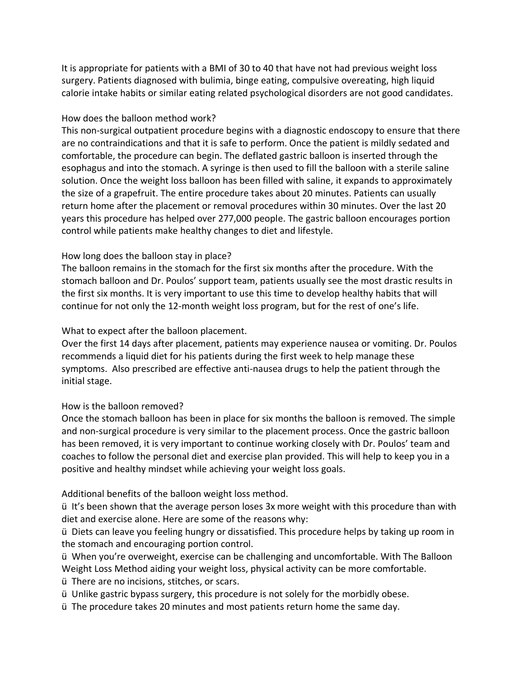It is appropriate for patients with a BMI of 30 to 40 that have not had previous weight loss surgery. Patients diagnosed with bulimia, binge eating, compulsive overeating, high liquid calorie intake habits or similar eating related psychological disorders are not good candidates.

## How does the balloon method work?

This non-surgical outpatient procedure begins with a diagnostic endoscopy to ensure that there are no contraindications and that it is safe to perform. Once the patient is mildly sedated and comfortable, the procedure can begin. The deflated gastric balloon is inserted through the esophagus and into the stomach. A syringe is then used to fill the balloon with a sterile saline solution. Once the weight loss balloon has been filled with saline, it expands to approximately the size of a grapefruit. The entire procedure takes about 20 minutes. Patients can usually return home after the placement or removal procedures within 30 minutes. Over the last 20 years this procedure has helped over 277,000 people. The gastric balloon encourages portion control while patients make healthy changes to diet and lifestyle.

# How long does the balloon stay in place?

The balloon remains in the stomach for the first six months after the procedure. With the stomach balloon and Dr. Poulos' support team, patients usually see the most drastic results in the first six months. It is very important to use this time to develop healthy habits that will continue for not only the 12-month weight loss program, but for the rest of one's life.

## What to expect after the balloon placement.

Over the first 14 days after placement, patients may experience nausea or vomiting. Dr. Poulos recommends a liquid diet for his patients during the first week to help manage these symptoms. Also prescribed are effective anti-nausea drugs to help the patient through the initial stage.

### How is the balloon removed?

Once the stomach balloon has been in place for six months the balloon is removed. The simple and non-surgical procedure is very similar to the placement process. Once the gastric balloon has been removed, it is very important to continue working closely with Dr. Poulos' team and coaches to follow the personal diet and exercise plan provided. This will help to keep you in a positive and healthy mindset while achieving your weight loss goals.

# Additional benefits of the balloon weight loss method.

ü It's been shown that the average person loses 3x more weight with this procedure than with diet and exercise alone. Here are some of the reasons why:

ü Diets can leave you feeling hungry or dissatisfied. This procedure helps by taking up room in the stomach and encouraging portion control.

ü When you're overweight, exercise can be challenging and uncomfortable. With The Balloon Weight Loss Method aiding your weight loss, physical activity can be more comfortable.

ü There are no incisions, stitches, or scars.

ü Unlike gastric bypass surgery, this procedure is not solely for the morbidly obese.

ü The procedure takes 20 minutes and most patients return home the same day.